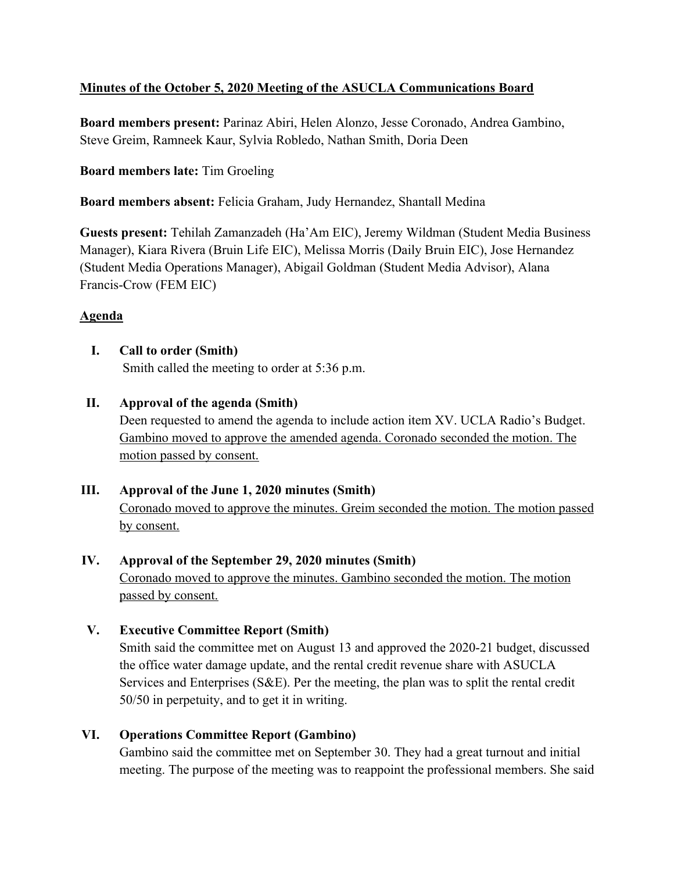## **Minutes of the October 5, 2020 Meeting of the ASUCLA Communications Board**

**Board members present:** Parinaz Abiri, Helen Alonzo, Jesse Coronado, Andrea Gambino, Steve Greim, Ramneek Kaur, Sylvia Robledo, Nathan Smith, Doria Deen

### **Board members late:** Tim Groeling

**Board members absent:** Felicia Graham, Judy Hernandez, Shantall Medina

**Guests present:** Tehilah Zamanzadeh (Ha'Am EIC), Jeremy Wildman (Student Media Business Manager), Kiara Rivera (Bruin Life EIC), Melissa Morris (Daily Bruin EIC), Jose Hernandez (Student Media Operations Manager), Abigail Goldman (Student Media Advisor), Alana Francis-Crow (FEM EIC)

### **Agenda**

**I. Call to order (Smith)** Smith called the meeting to order at 5:36 p.m.

### **II. Approval of the agenda (Smith)**

Deen requested to amend the agenda to include action item XV. UCLA Radio's Budget. Gambino moved to approve the amended agenda. Coronado seconded the motion. The motion passed by consent.

### **III. Approval of the June 1, 2020 minutes (Smith)**

Coronado moved to approve the minutes. Greim seconded the motion. The motion passed by consent.

## **IV. Approval of the September 29, 2020 minutes (Smith)** Coronado moved to approve the minutes. Gambino seconded the motion. The motion passed by consent.

## **V. Executive Committee Report (Smith)**

Smith said the committee met on August 13 and approved the 2020-21 budget, discussed the office water damage update, and the rental credit revenue share with ASUCLA Services and Enterprises (S&E). Per the meeting, the plan was to split the rental credit 50/50 in perpetuity, and to get it in writing.

## **VI. Operations Committee Report (Gambino)**

Gambino said the committee met on September 30. They had a great turnout and initial meeting. The purpose of the meeting was to reappoint the professional members. She said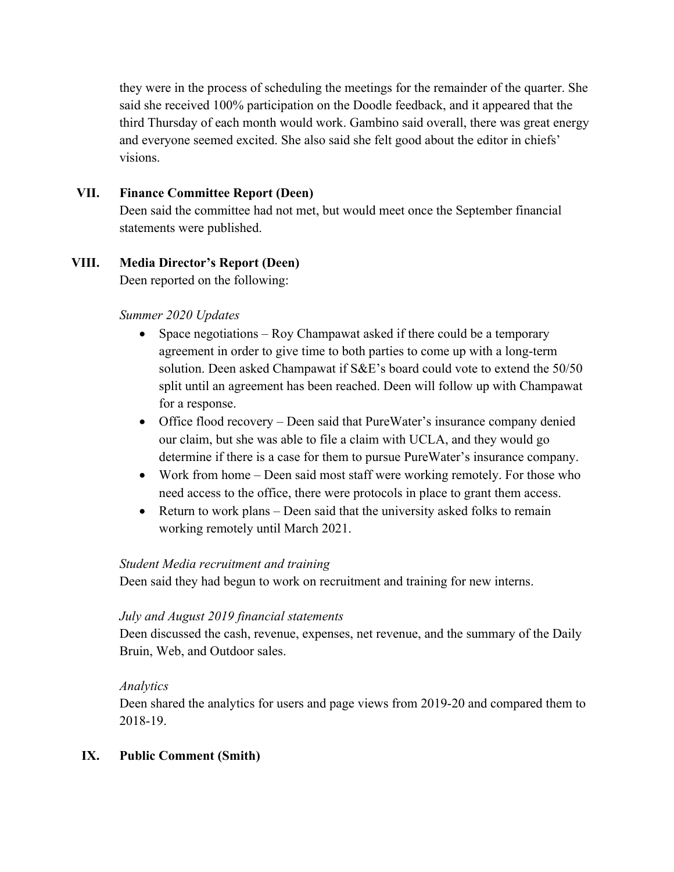they were in the process of scheduling the meetings for the remainder of the quarter. She said she received 100% participation on the Doodle feedback, and it appeared that the third Thursday of each month would work. Gambino said overall, there was great energy and everyone seemed excited. She also said she felt good about the editor in chiefs' visions.

### **VII. Finance Committee Report (Deen)**

Deen said the committee had not met, but would meet once the September financial statements were published.

# **VIII. Media Director's Report (Deen)**

Deen reported on the following:

### *Summer 2020 Updates*

- Space negotiations Roy Champawat asked if there could be a temporary agreement in order to give time to both parties to come up with a long-term solution. Deen asked Champawat if S&E's board could vote to extend the 50/50 split until an agreement has been reached. Deen will follow up with Champawat for a response.
- Office flood recovery Deen said that PureWater's insurance company denied our claim, but she was able to file a claim with UCLA, and they would go determine if there is a case for them to pursue PureWater's insurance company.
- Work from home Deen said most staff were working remotely. For those who need access to the office, there were protocols in place to grant them access.
- Return to work plans Deen said that the university asked folks to remain working remotely until March 2021.

### *Student Media recruitment and training*

Deen said they had begun to work on recruitment and training for new interns.

### *July and August 2019 financial statements*

Deen discussed the cash, revenue, expenses, net revenue, and the summary of the Daily Bruin, Web, and Outdoor sales.

### *Analytics*

Deen shared the analytics for users and page views from 2019-20 and compared them to 2018-19.

## **IX. Public Comment (Smith)**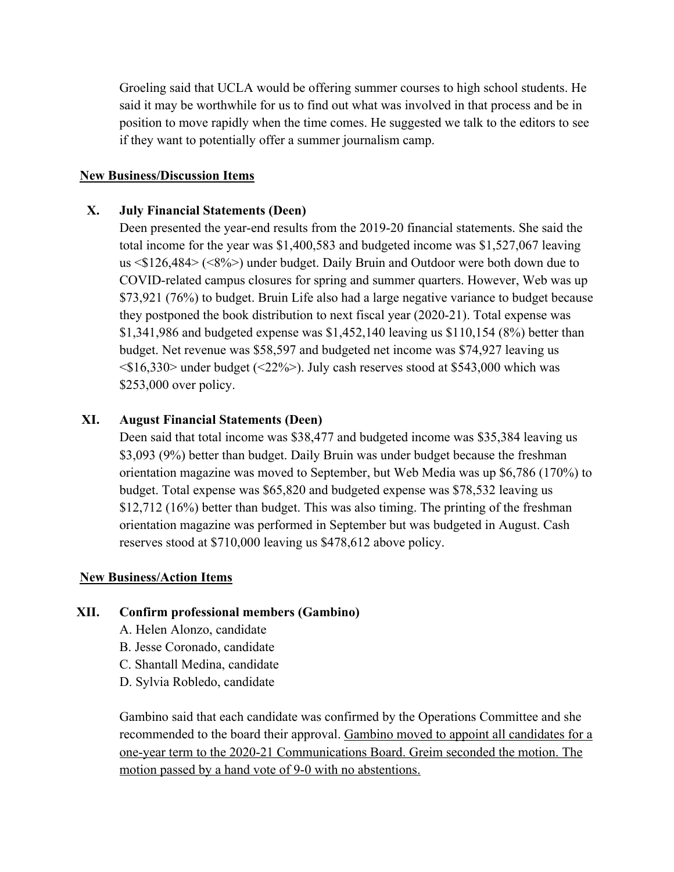Groeling said that UCLA would be offering summer courses to high school students. He said it may be worthwhile for us to find out what was involved in that process and be in position to move rapidly when the time comes. He suggested we talk to the editors to see if they want to potentially offer a summer journalism camp.

#### **New Business/Discussion Items**

#### **X. July Financial Statements (Deen)**

Deen presented the year-end results from the 2019-20 financial statements. She said the total income for the year was \$1,400,583 and budgeted income was \$1,527,067 leaving us <\$126,484> (<8%>) under budget. Daily Bruin and Outdoor were both down due to COVID-related campus closures for spring and summer quarters. However, Web was up \$73,921 (76%) to budget. Bruin Life also had a large negative variance to budget because they postponed the book distribution to next fiscal year (2020-21). Total expense was \$1,341,986 and budgeted expense was \$1,452,140 leaving us \$110,154 (8%) better than budget. Net revenue was \$58,597 and budgeted net income was \$74,927 leaving us  $\langle$ \$16,330> under budget ( $\langle$ 22%>). July cash reserves stood at \$543,000 which was \$253,000 over policy.

#### **XI. August Financial Statements (Deen)**

Deen said that total income was \$38,477 and budgeted income was \$35,384 leaving us \$3,093 (9%) better than budget. Daily Bruin was under budget because the freshman orientation magazine was moved to September, but Web Media was up \$6,786 (170%) to budget. Total expense was \$65,820 and budgeted expense was \$78,532 leaving us \$12,712 (16%) better than budget. This was also timing. The printing of the freshman orientation magazine was performed in September but was budgeted in August. Cash reserves stood at \$710,000 leaving us \$478,612 above policy.

#### **New Business/Action Items**

#### **XII. Confirm professional members (Gambino)**

- A. Helen Alonzo, candidate
- B. Jesse Coronado, candidate
- C. Shantall Medina, candidate
- D. Sylvia Robledo, candidate

Gambino said that each candidate was confirmed by the Operations Committee and she recommended to the board their approval. Gambino moved to appoint all candidates for a one-year term to the 2020-21 Communications Board. Greim seconded the motion. The motion passed by a hand vote of 9-0 with no abstentions.